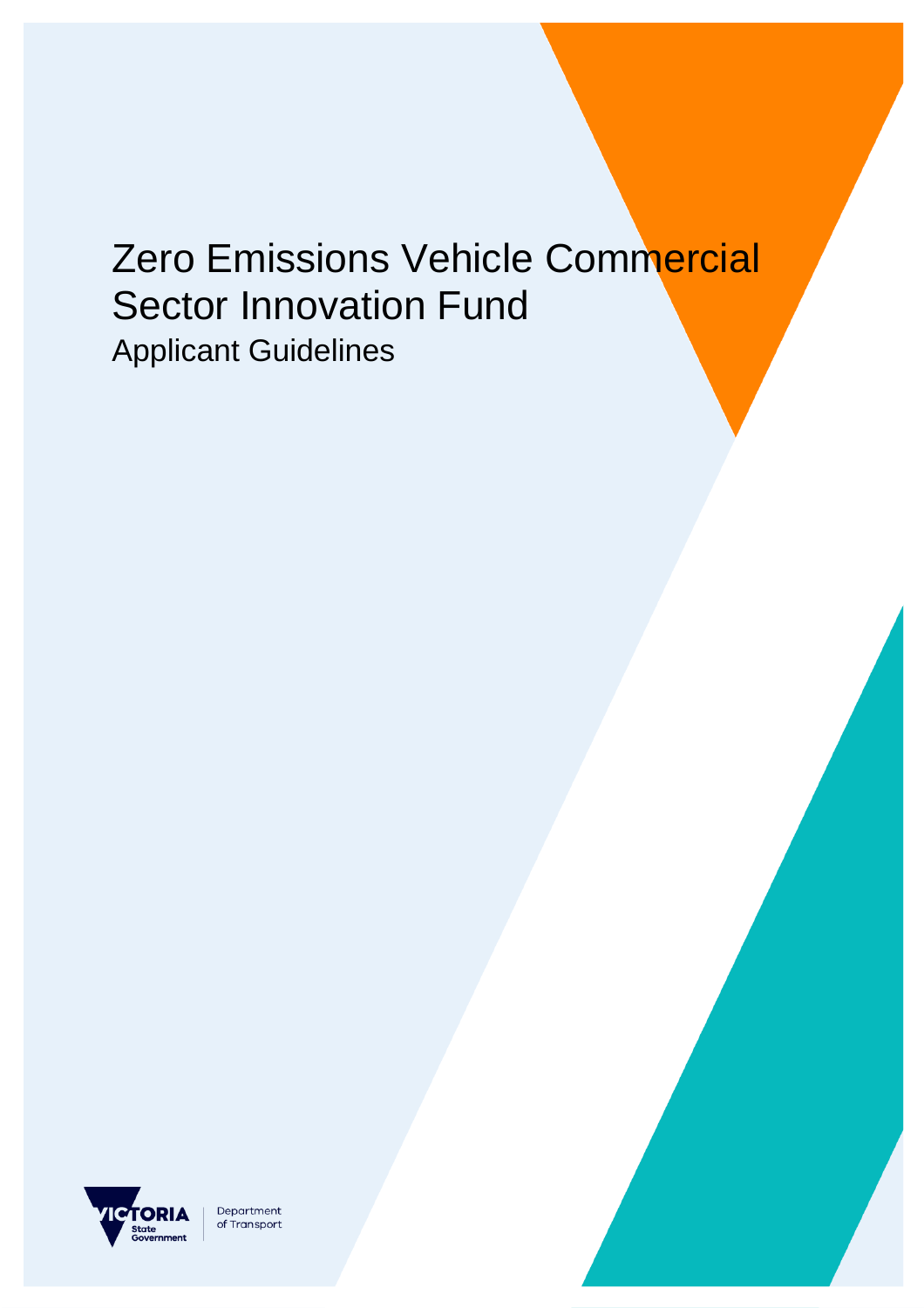# Zero Emissions Vehicle Commercial Sector Innovation Fund Applicant Guidelines



Department of Transport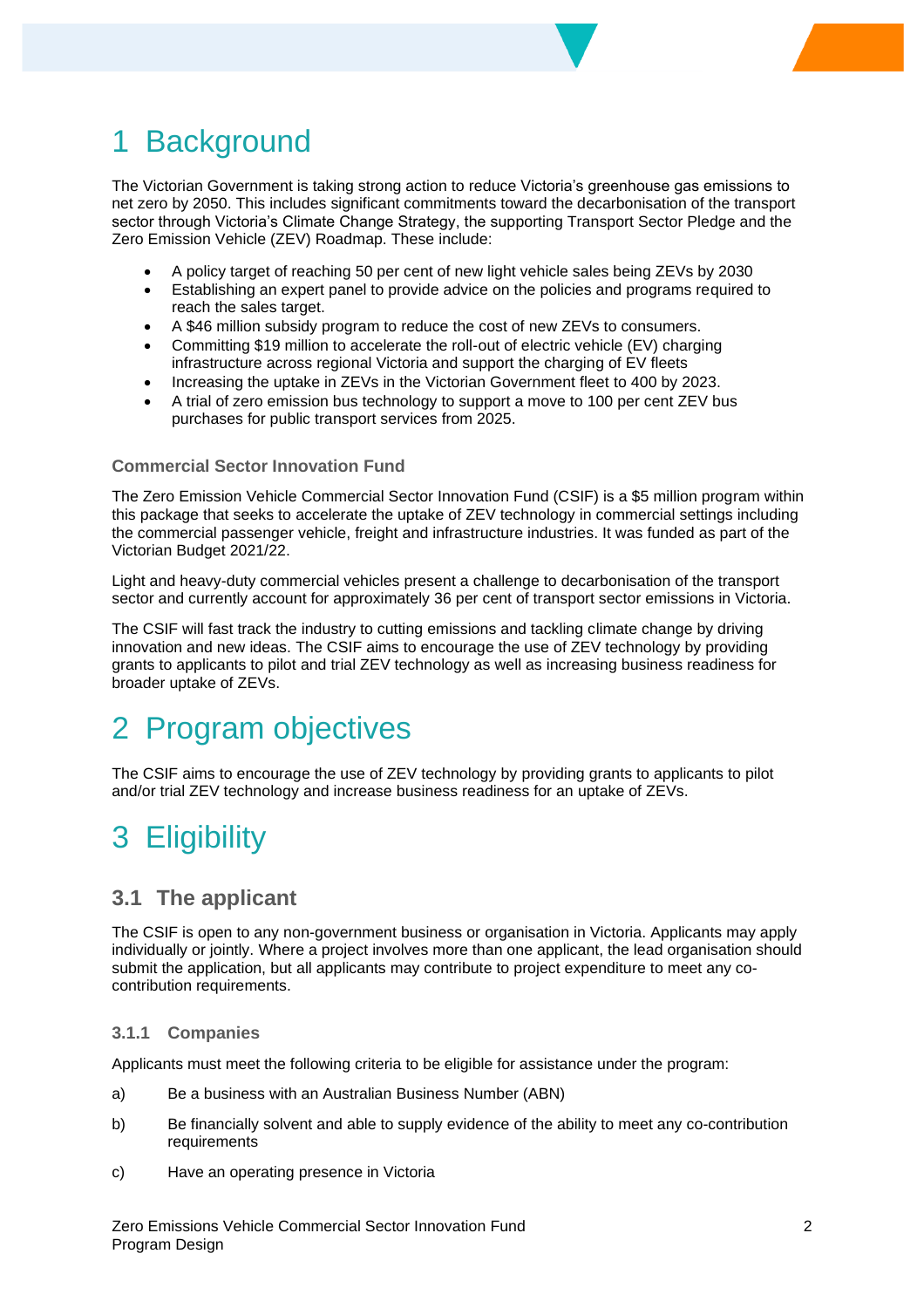## 1 Background

The Victorian Government is taking strong action to reduce Victoria's greenhouse gas emissions to net zero by 2050. This includes significant commitments toward the decarbonisation of the transport sector through Victoria's Climate Change Strategy, the supporting Transport Sector Pledge and the Zero Emission Vehicle (ZEV) Roadmap. These include:

- A policy target of reaching 50 per cent of new light vehicle sales being ZEVs by 2030
- Establishing an expert panel to provide advice on the policies and programs required to reach the sales target.
- A \$46 million subsidy program to reduce the cost of new ZEVs to consumers.
- Committing \$19 million to accelerate the roll-out of electric vehicle (EV) charging infrastructure across regional Victoria and support the charging of EV fleets
- Increasing the uptake in ZEVs in the Victorian Government fleet to 400 by 2023.
- A trial of zero emission bus technology to support a move to 100 per cent ZEV bus purchases for public transport services from 2025.

#### **Commercial Sector Innovation Fund**

The Zero Emission Vehicle Commercial Sector Innovation Fund (CSIF) is a \$5 million program within this package that seeks to accelerate the uptake of ZEV technology in commercial settings including the commercial passenger vehicle, freight and infrastructure industries. It was funded as part of the Victorian Budget 2021/22.

Light and heavy-duty commercial vehicles present a challenge to decarbonisation of the transport sector and currently account for approximately 36 per cent of transport sector emissions in Victoria.

The CSIF will fast track the industry to cutting emissions and tackling climate change by driving innovation and new ideas. The CSIF aims to encourage the use of ZEV technology by providing grants to applicants to pilot and trial ZEV technology as well as increasing business readiness for broader uptake of ZEVs.

### 2 Program objectives

The CSIF aims to encourage the use of ZEV technology by providing grants to applicants to pilot and/or trial ZEV technology and increase business readiness for an uptake of ZEVs.

# 3 Eligibility

#### **3.1 The applicant**

The CSIF is open to any non-government business or organisation in Victoria. Applicants may apply individually or jointly. Where a project involves more than one applicant, the lead organisation should submit the application, but all applicants may contribute to project expenditure to meet any cocontribution requirements.

#### **3.1.1 Companies**

Applicants must meet the following criteria to be eligible for assistance under the program:

- a) Be a business with an Australian Business Number (ABN)
- b) Be financially solvent and able to supply evidence of the ability to meet any co-contribution requirements
- c) Have an operating presence in Victoria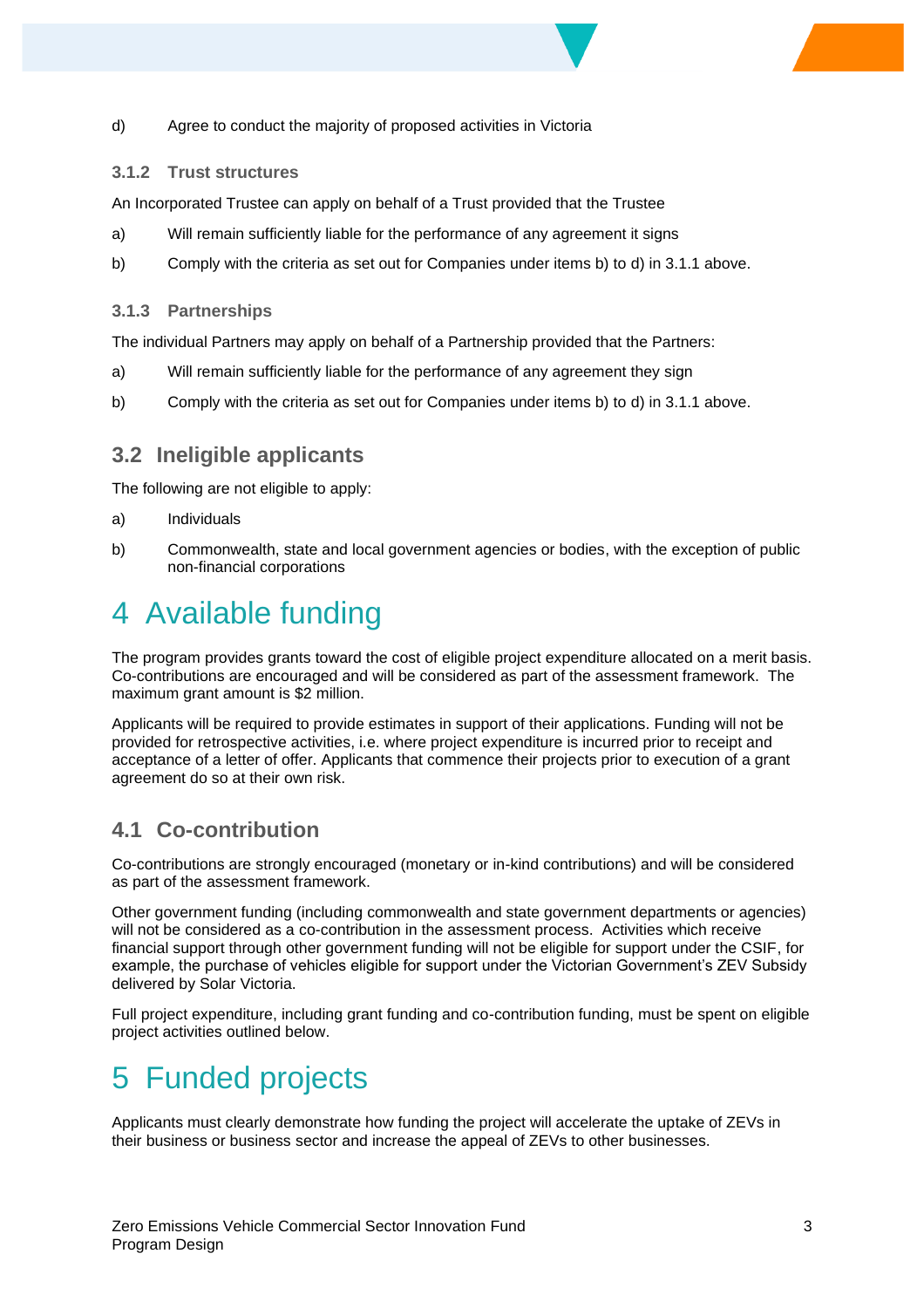d) Agree to conduct the majority of proposed activities in Victoria

#### **3.1.2 Trust structures**

An Incorporated Trustee can apply on behalf of a Trust provided that the Trustee

- a) Will remain sufficiently liable for the performance of any agreement it signs
- b) Comply with the criteria as set out for Companies under items b) to d) in 3.1.1 above.

#### **3.1.3 Partnerships**

The individual Partners may apply on behalf of a Partnership provided that the Partners:

- a) Will remain sufficiently liable for the performance of any agreement they sign
- b) Comply with the criteria as set out for Companies under items b) to d) in 3.1.1 above.

#### **3.2 Ineligible applicants**

The following are not eligible to apply:

- a) Individuals
- b) Commonwealth, state and local government agencies or bodies, with the exception of public non-financial corporations

# 4 Available funding

The program provides grants toward the cost of eligible project expenditure allocated on a merit basis. Co-contributions are encouraged and will be considered as part of the assessment framework. The maximum grant amount is \$2 million.

Applicants will be required to provide estimates in support of their applications. Funding will not be provided for retrospective activities, i.e. where project expenditure is incurred prior to receipt and acceptance of a letter of offer. Applicants that commence their projects prior to execution of a grant agreement do so at their own risk.

### **4.1 Co-contribution**

Co-contributions are strongly encouraged (monetary or in-kind contributions) and will be considered as part of the assessment framework.

Other government funding (including commonwealth and state government departments or agencies) will not be considered as a co-contribution in the assessment process. Activities which receive financial support through other government funding will not be eligible for support under the CSIF, for example, the purchase of vehicles eligible for support under the Victorian Government's ZEV Subsidy delivered by Solar Victoria.

Full project expenditure, including grant funding and co-contribution funding, must be spent on eligible project activities outlined below.

# 5 Funded projects

Applicants must clearly demonstrate how funding the project will accelerate the uptake of ZEVs in their business or business sector and increase the appeal of ZEVs to other businesses.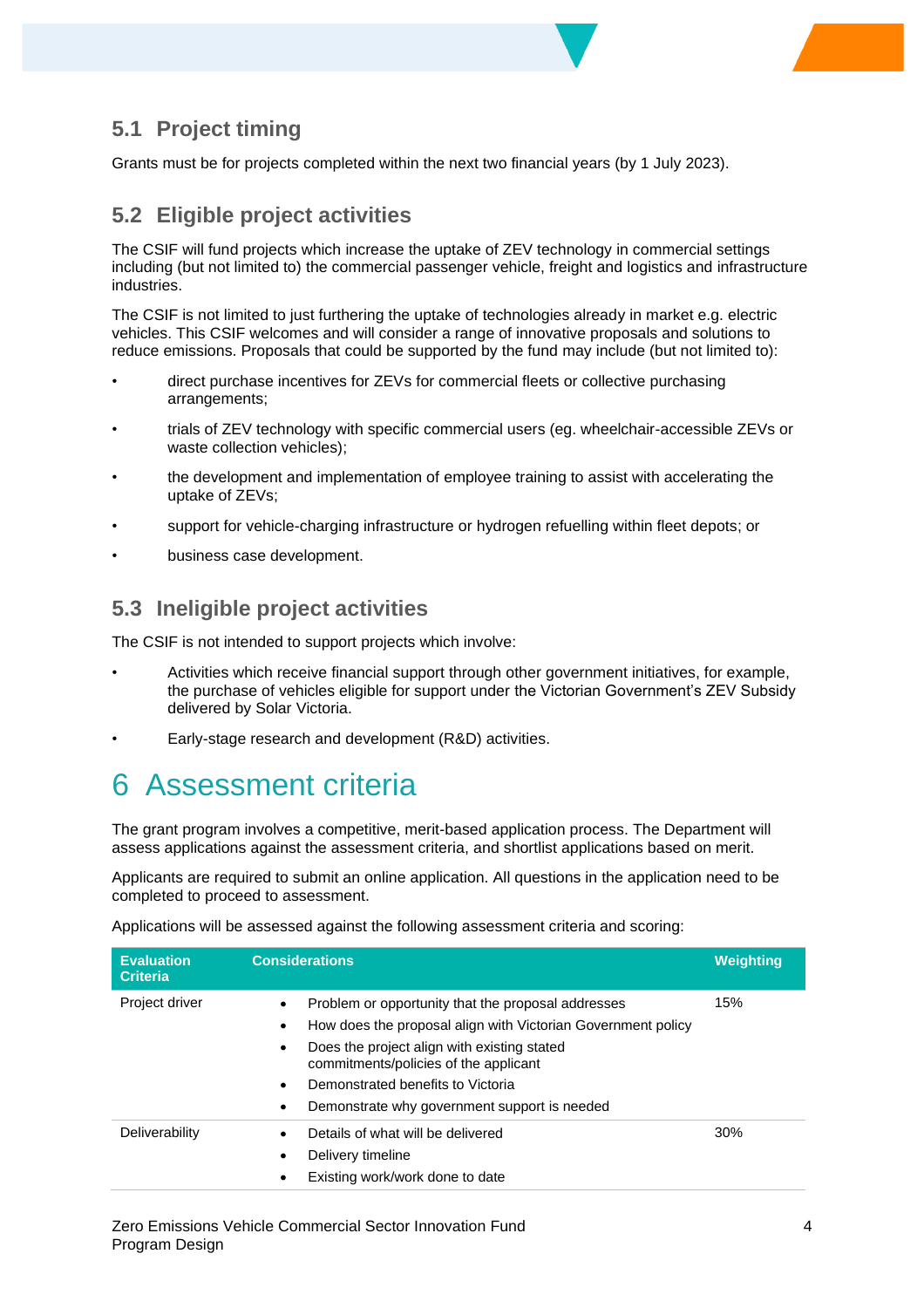### **5.1 Project timing**

Grants must be for projects completed within the next two financial years (by 1 July 2023).

#### **5.2 Eligible project activities**

The CSIF will fund projects which increase the uptake of ZEV technology in commercial settings including (but not limited to) the commercial passenger vehicle, freight and logistics and infrastructure industries.

The CSIF is not limited to just furthering the uptake of technologies already in market e.g. electric vehicles. This CSIF welcomes and will consider a range of innovative proposals and solutions to reduce emissions. Proposals that could be supported by the fund may include (but not limited to):

- direct purchase incentives for ZEVs for commercial fleets or collective purchasing arrangements;
- trials of ZEV technology with specific commercial users (eg. wheelchair-accessible ZEVs or waste collection vehicles);
- the development and implementation of employee training to assist with accelerating the uptake of ZEVs;
- support for vehicle-charging infrastructure or hydrogen refuelling within fleet depots; or
- business case development.

#### **5.3 Ineligible project activities**

The CSIF is not intended to support projects which involve:

- Activities which receive financial support through other government initiatives, for example, the purchase of vehicles eligible for support under the Victorian Government's ZEV Subsidy delivered by Solar Victoria.
- Early-stage research and development (R&D) activities.

### 6 Assessment criteria

The grant program involves a competitive, merit-based application process. The Department will assess applications against the assessment criteria, and shortlist applications based on merit.

Applicants are required to submit an online application. All questions in the application need to be completed to proceed to assessment.

Applications will be assessed against the following assessment criteria and scoring:

| <b>Evaluation</b><br><b>Criteria</b> | <b>Considerations</b>                                                                                                                                                                                                                                                                                                                    | <b>Weighting</b> |
|--------------------------------------|------------------------------------------------------------------------------------------------------------------------------------------------------------------------------------------------------------------------------------------------------------------------------------------------------------------------------------------|------------------|
| Project driver                       | Problem or opportunity that the proposal addresses<br>$\bullet$<br>How does the proposal align with Victorian Government policy<br>٠<br>Does the project align with existing stated<br>٠<br>commitments/policies of the applicant<br>Demonstrated benefits to Victoria<br>$\bullet$<br>Demonstrate why government support is needed<br>٠ | 15%              |
| Deliverability                       | Details of what will be delivered<br>٠<br>Delivery timeline<br>٠<br>Existing work/work done to date<br>٠                                                                                                                                                                                                                                 | 30%              |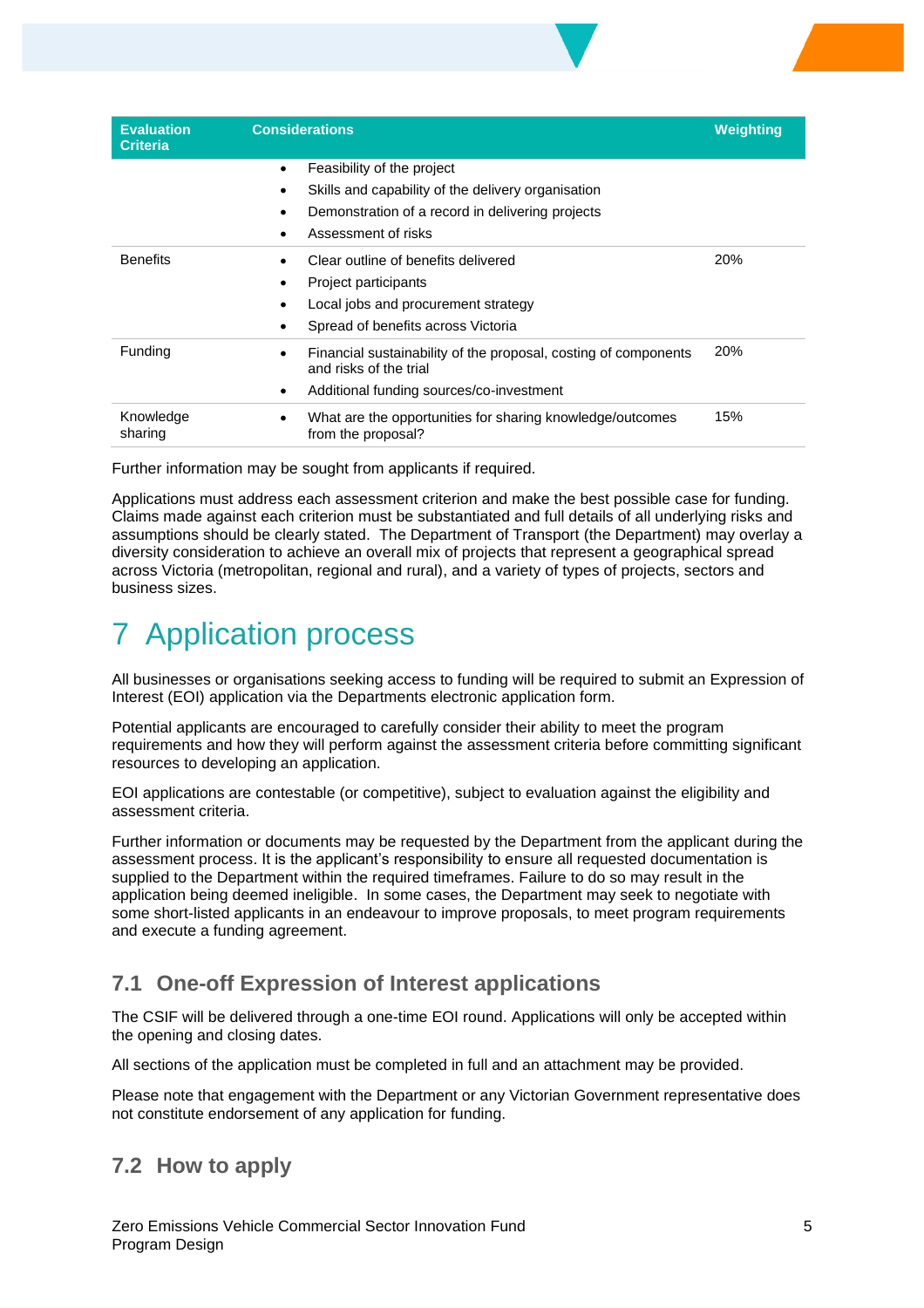| <b>Evaluation</b><br><b>Criteria</b> | <b>Considerations</b>                                                                                                                                                    | <b>Weighting</b> |
|--------------------------------------|--------------------------------------------------------------------------------------------------------------------------------------------------------------------------|------------------|
|                                      | Feasibility of the project<br>$\bullet$<br>Skills and capability of the delivery organisation<br>Demonstration of a record in delivering projects<br>Assessment of risks |                  |
| <b>Benefits</b>                      | Clear outline of benefits delivered<br>Project participants<br>Local jobs and procurement strategy<br>Spread of benefits across Victoria<br>$\bullet$                    | 20%              |
| Funding                              | Financial sustainability of the proposal, costing of components<br>٠<br>and risks of the trial<br>Additional funding sources/co-investment<br>$\bullet$                  | 20%              |
| Knowledge<br>sharing                 | What are the opportunities for sharing knowledge/outcomes<br>$\bullet$<br>from the proposal?                                                                             | 15%              |

Further information may be sought from applicants if required.

Applications must address each assessment criterion and make the best possible case for funding. Claims made against each criterion must be substantiated and full details of all underlying risks and assumptions should be clearly stated. The Department of Transport (the Department) may overlay a diversity consideration to achieve an overall mix of projects that represent a geographical spread across Victoria (metropolitan, regional and rural), and a variety of types of projects, sectors and business sizes.

# **Application process**

All businesses or organisations seeking access to funding will be required to submit an Expression of Interest (EOI) application via the Departments electronic application form.

Potential applicants are encouraged to carefully consider their ability to meet the program requirements and how they will perform against the assessment criteria before committing significant resources to developing an application.

EOI applications are contestable (or competitive), subject to evaluation against the eligibility and assessment criteria.

Further information or documents may be requested by the Department from the applicant during the assessment process. It is the applicant's responsibility to ensure all requested documentation is supplied to the Department within the required timeframes. Failure to do so may result in the application being deemed ineligible. In some cases, the Department may seek to negotiate with some short-listed applicants in an endeavour to improve proposals, to meet program requirements and execute a funding agreement.

### **7.1 One-off Expression of Interest applications**

The CSIF will be delivered through a one-time EOI round. Applications will only be accepted within the opening and closing dates.

All sections of the application must be completed in full and an attachment may be provided.

Please note that engagement with the Department or any Victorian Government representative does not constitute endorsement of any application for funding.

### **7.2 How to apply**